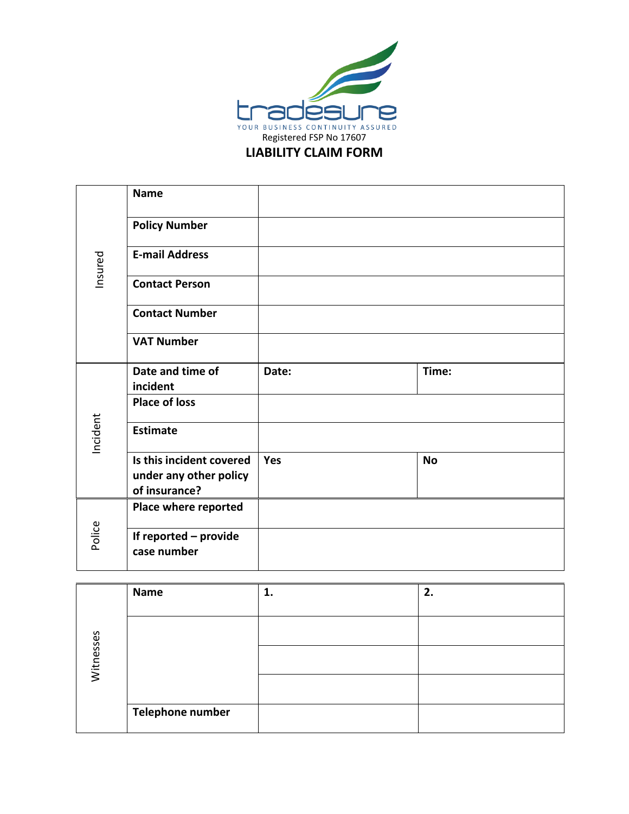

## **LIABILITY CLAIM FORM**

| Insured  | <b>Name</b>                             |            |           |
|----------|-----------------------------------------|------------|-----------|
|          | <b>Policy Number</b>                    |            |           |
|          | <b>E-mail Address</b>                   |            |           |
|          | <b>Contact Person</b>                   |            |           |
|          | <b>Contact Number</b>                   |            |           |
|          | <b>VAT Number</b>                       |            |           |
|          | Date and time of<br>incident            | Date:      | Time:     |
|          | <b>Place of loss</b>                    |            |           |
| Incident | <b>Estimate</b>                         |            |           |
|          | Is this incident covered                | <b>Yes</b> | <b>No</b> |
|          | under any other policy<br>of insurance? |            |           |
|          |                                         |            |           |
| Police   | Place where reported                    |            |           |
|          | If reported - provide<br>case number    |            |           |

|           | Name             | 1. | 2. |
|-----------|------------------|----|----|
| Witnesses |                  |    |    |
|           |                  |    |    |
|           |                  |    |    |
|           |                  |    |    |
|           | Telephone number |    |    |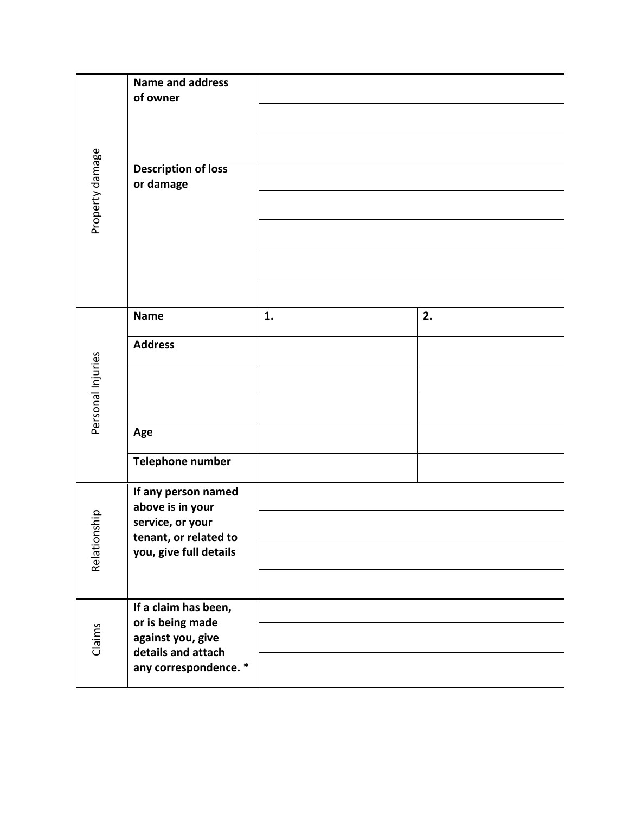| Property damage   | <b>Name and address</b><br>of owner<br><b>Description of loss</b><br>or damage |    |    |
|-------------------|--------------------------------------------------------------------------------|----|----|
|                   |                                                                                |    |    |
|                   | <b>Name</b>                                                                    | 1. | 2. |
|                   | <b>Address</b>                                                                 |    |    |
| Personal Injuries |                                                                                |    |    |
|                   |                                                                                |    |    |
|                   | Age                                                                            |    |    |
|                   | Telephone number                                                               |    |    |
|                   | If any person named<br>above is in your                                        |    |    |
| girls<br>Relation | service, or your<br>tenant, or related to                                      |    |    |
|                   | you, give full details                                                         |    |    |
|                   |                                                                                |    |    |
| Claims            | If a claim has been,<br>or is being made                                       |    |    |
|                   | against you, give<br>details and attach                                        |    |    |
|                   | any correspondence. *                                                          |    |    |